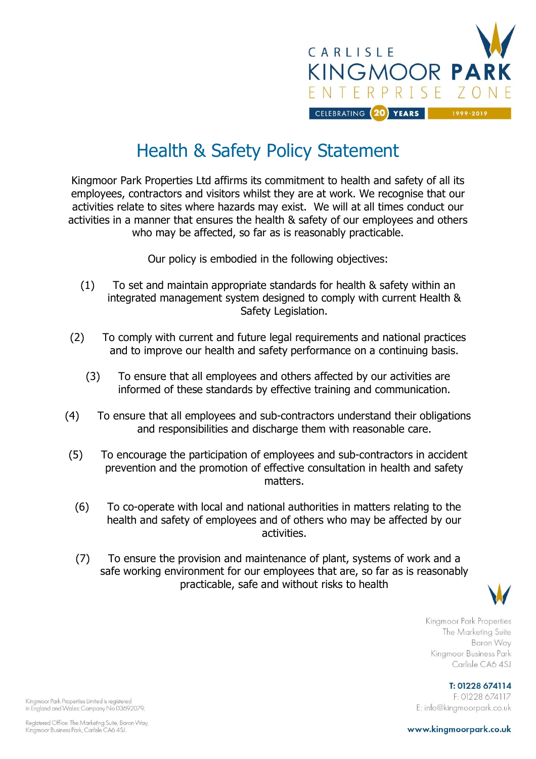

## Health & Safety Policy Statement

Kingmoor Park Properties Ltd affirms its commitment to health and safety of all its employees, contractors and visitors whilst they are at work. We recognise that our activities relate to sites where hazards may exist. We will at all times conduct our activities in a manner that ensures the health & safety of our employees and others who may be affected, so far as is reasonably practicable.

Our policy is embodied in the following objectives:

- (1) To set and maintain appropriate standards for health & safety within an integrated management system designed to comply with current Health & Safety Legislation.
- (2) To comply with current and future legal requirements and national practices and to improve our health and safety performance on a continuing basis.
	- (3) To ensure that all employees and others affected by our activities are informed of these standards by effective training and communication.
- (4) To ensure that all employees and sub-contractors understand their obligations and responsibilities and discharge them with reasonable care.
- (5) To encourage the participation of employees and sub-contractors in accident prevention and the promotion of effective consultation in health and safety matters.
	- (6) To co-operate with local and national authorities in matters relating to the health and safety of employees and of others who may be affected by our activities.
	- (7) To ensure the provision and maintenance of plant, systems of work and a safe working environment for our employees that are, so far as is reasonably practicable, safe and without risks to health



Kingmoor Park Properties The Marketing Suite Baron Way Kingmoor Business Park Carlisle CA6 4SJ

T: 01228 674114 F: 01228 674117 E: info@kingmoorpark.co.uk

Kingmoor Park Properties Limited is registered in England and Wales: Company No 03692079.

www.kingmoorpark.co.uk